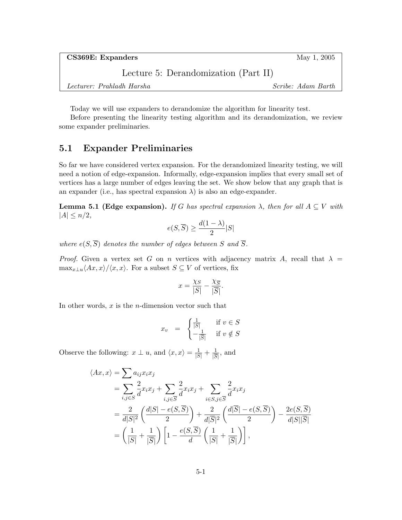CS369E: Expanders May 1, 2005 Lecture 5: Derandomization (Part II) Lecturer: Prahladh Harsha Scribe: Adam Barth

Today we will use expanders to derandomize the algorithm for linearity test.

Before presenting the linearity testing algorithm and its derandomization, we review some expander preliminaries.

## 5.1 Expander Preliminaries

So far we have considered vertex expansion. For the derandomized linearity testing, we will need a notion of edge-expansion. Informally, edge-expansion implies that every small set of vertices has a large number of edges leaving the set. We show below that any graph that is an expander (i.e., has spectral expansion  $\lambda$ ) is also an edge-expander.

<span id="page-0-0"></span>**Lemma 5.1 (Edge expansion).** If G has spectral expansion  $\lambda$ , then for all  $A \subseteq V$  with  $|A| \leq n/2$ ,

$$
e(S,\overline{S}) \ge \frac{d(1-\lambda)}{2}|S|
$$

where  $e(S,\overline{S})$  denotes the number of edges between S and  $\overline{S}$ .

*Proof.* Given a vertex set G on n vertices with adjacency matrix A, recall that  $\lambda =$  $\max_{x\perp u}\langle Ax, x\rangle/\langle x, x\rangle$ . For a subset  $S \subseteq V$  of vertices, fix

$$
x = \frac{\chi_S}{|S|} - \frac{\chi_{\overline{S}}}{|\overline{S}|}.
$$

In other words,  $x$  is the *n*-dimension vector such that

$$
x_v = \begin{cases} \frac{1}{|S|} & \text{if } v \in S \\ -\frac{1}{|S|} & \text{if } v \notin S \end{cases}
$$

Observe the following:  $x \perp u$ , and  $\langle x, x \rangle = \frac{1}{|S|} + \frac{1}{|S|}$  $\frac{1}{|\overline{S}|}$ , and

$$
\langle Ax, x \rangle = \sum a_{ij} x_i x_j
$$
  
= 
$$
\sum_{i,j \in S} \frac{2}{d} x_i x_j + \sum_{i,j \in \overline{S}} \frac{2}{d} x_i x_j + \sum_{i \in S, j \in \overline{S}} \frac{2}{d} x_i x_j
$$
  
= 
$$
\frac{2}{d|S|^2} \left( \frac{d|S| - e(S, \overline{S})}{2} \right) + \frac{2}{d|\overline{S}|^2} \left( \frac{d|\overline{S}| - e(S, \overline{S})}{2} \right) - \frac{2e(S, \overline{S})}{d|S||\overline{S}|}
$$
  
= 
$$
\left( \frac{1}{|S|} + \frac{1}{|\overline{S}|} \right) \left[ 1 - \frac{e(S, \overline{S})}{d} \left( \frac{1}{|S|} + \frac{1}{|\overline{S}|} \right) \right],
$$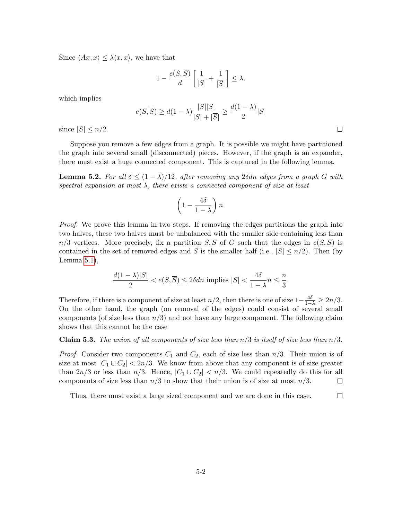Since  $\langle Ax, x \rangle \leq \lambda \langle x, x \rangle$ , we have that

$$
1 - \frac{e(S, \overline{S})}{d} \left[ \frac{1}{|S|} + \frac{1}{|\overline{S}|} \right] \le \lambda.
$$

which implies

$$
e(S,\overline{S}) \ge d(1-\lambda)\frac{|S||S|}{|S|+|\overline{S}|} \ge \frac{d(1-\lambda)}{2}|S|
$$

since  $|S| \leq n/2$ .

Suppose you remove a few edges from a graph. It is possible we might have partitioned the graph into several small (disconnected) pieces. However, if the graph is an expander, there must exist a huge connected component. This is captured in the following lemma.

<span id="page-1-0"></span>**Lemma 5.2.** For all  $\delta \leq (1 - \lambda)/12$ , after removing any 2*δdn* edges from a graph G with spectral expansion at most  $\lambda$ , there exists a connected component of size at least

$$
\left(1 - \frac{4\delta}{1 - \lambda}\right)n.
$$

Proof. We prove this lemma in two steps. If removing the edges partitions the graph into two halves, these two halves must be unbalanced with the smaller side containing less than  $n/3$  vertices. More precisely, fix a partition  $S,\overline{S}$  of G such that the edges in  $e(S,\overline{S})$  is contained in the set of removed edges and S is the smaller half (i.e.,  $|S| \le n/2$ ). Then (by Lemma [5.1\)](#page-0-0),

$$
\frac{d(1-\lambda)|S|}{2} < e(S,\overline{S}) \le 2\delta \, \text{d}n \text{ implies } |S| < \frac{4\delta}{1-\lambda}n \le \frac{n}{3}.
$$

Therefore, if there is a component of size at least  $n/2$ , then there is one of size  $1-\frac{4\delta}{1-\lambda} \geq 2n/3$ . On the other hand, the graph (on removal of the edges) could consist of several small components (of size less than  $n/3$ ) and not have any large component. The following claim shows that this cannot be the case

**Claim 5.3.** The union of all components of size less than  $n/3$  is itself of size less than  $n/3$ .

*Proof.* Consider two components  $C_1$  and  $C_2$ , each of size less than  $n/3$ . Their union is of size at most  $|C_1 \cup C_2|$  < 2n/3. We know from above that any component is of size greater than  $2n/3$  or less than  $n/3$ . Hence,  $|C_1 \cup C_2| < n/3$ . We could repeatedly do this for all components of size less than  $n/3$  to show that their union is of size at most  $n/3$ .  $\Box$ 

Thus, there must exist a large sized component and we are done in this case.

 $\Box$ 

 $\Box$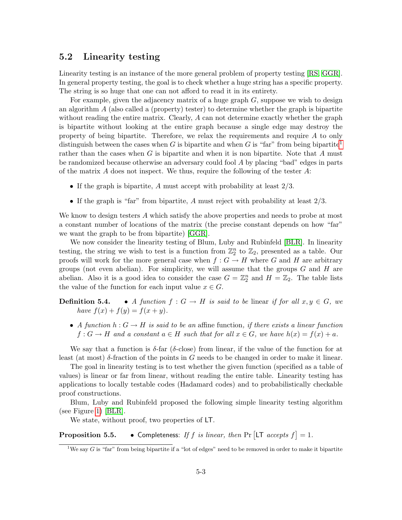## 5.2 Linearity testing

Linearity testing is an instance of the more general problem of property testing [\[RS,](#page-5-0) [GGR\]](#page-5-1). In general property testing, the goal is to check whether a huge string has a specific property. The string is so huge that one can not afford to read it in its entirety.

For example, given the adjacency matrix of a huge graph  $G$ , suppose we wish to design an algorithm  $A$  (also called a (property) tester) to determine whether the graph is bipartite without reading the entire matrix. Clearly, A can not determine exactly whether the graph is bipartite without looking at the entire graph because a single edge may destroy the property of being bipartite. Therefore, we relax the requirements and require A to only distinguish between the cases when G is bipartite and when G is "far" from being bipartite<sup>[1](#page-2-0)</sup> rather than the cases when G is bipartite and when it is non bipartite. Note that  $A$  must be randomized because otherwise an adversary could fool A by placing "bad" edges in parts of the matrix A does not inspect. We thus, require the following of the tester  $A$ :

- If the graph is bipartite, A must accept with probability at least  $2/3$ .
- If the graph is "far" from bipartite,  $A$  must reject with probability at least  $2/3$ .

We know to design testers A which satisfy the above properties and needs to probe at most a constant number of locations of the matrix (the precise constant depends on how "far" we want the graph to be from bipartite) [\[GGR\]](#page-5-1).

We now consider the linearity testing of Blum, Luby and Rubinfeld [\[BLR\]](#page-5-2). In linearity testing, the string we wish to test is a function from  $\mathbb{Z}_2^n$  to  $\mathbb{Z}_2$ , presented as a table. Our proofs will work for the more general case when  $f : G \to H$  where G and H are arbitrary groups (not even abelian). For simplicity, we will assume that the groups  $G$  and  $H$  are abelian. Also it is a good idea to consider the case  $G = \mathbb{Z}_2^n$  and  $H = \mathbb{Z}_2$ . The table lists the value of the function for each input value  $x \in G$ .

**Definition 5.4.** • A function  $f : G \to H$  is said to be linear if for all  $x, y \in G$ , we have  $f(x) + f(y) = f(x + y)$ .

• A function  $h: G \to H$  is said to be an affine function, if there exists a linear function  $f: G \to H$  and a constant  $a \in H$  such that for all  $x \in G$ , we have  $h(x) = f(x) + a$ .

We say that a function is  $\delta$ -far ( $\delta$ -close) from linear, if the value of the function for at least (at most)  $\delta$ -fraction of the points in G needs to be changed in order to make it linear.

The goal in linearity testing is to test whether the given function (specified as a table of values) is linear or far from linear, without reading the entire table. Linearity testing has applications to locally testable codes (Hadamard codes) and to probabilistically checkable proof constructions.

Blum, Luby and Rubinfeld proposed the following simple linearity testing algorithm (see Figure [1\)](#page-3-0) [\[BLR\]](#page-5-2).

We state, without proof, two properties of LT.

**Proposition 5.5.** • Completeness: If f is linear, then Pr  $[LT$  accepts  $f$  = 1.

<span id="page-2-0"></span><sup>&</sup>lt;sup>1</sup>We say G is "far" from being bipartite if a "lot of edges" need to be removed in order to make it bipartite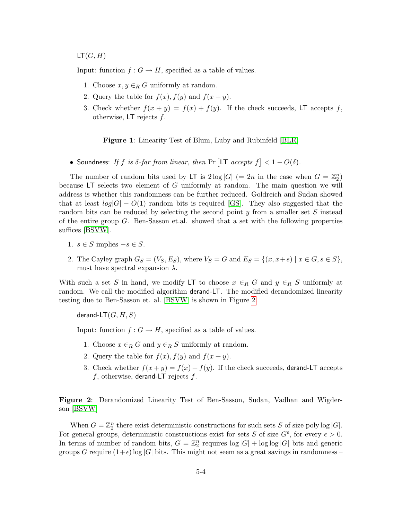$LT(G, H)$ 

Input: function  $f: G \to H$ , specified as a table of values.

- 1. Choose  $x, y \in_R G$  uniformly at random.
- 2. Query the table for  $f(x)$ ,  $f(y)$  and  $f(x + y)$ .
- 3. Check whether  $f(x + y) = f(x) + f(y)$ . If the check succeeds, LT accepts f, otherwise,  $LT$  rejects  $f$ .

<span id="page-3-0"></span>Figure 1: Linearity Test of Blum, Luby and Rubinfeld [\[BLR\]](#page-5-2)

• Soundness: If f is  $\delta$ -far from linear, then Pr  $[\text{LT } accepts f] < 1 - O(\delta)$ .

The number of random bits used by LT is  $2 \log |G|$  (= 2n in the case when  $G = \mathbb{Z}_2^n$ ) because LT selects two element of G uniformly at random. The main question we will address is whether this randomness can be further reduced. Goldreich and Sudan showed that at least  $log|G| - O(1)$  random bits is required [\[GS\]](#page-5-3). They also suggested that the random bits can be reduced by selecting the second point  $y$  from a smaller set  $S$  instead of the entire group  $G$ . Ben-Sasson et.al. showed that a set with the following properties suffices [\[BSVW\]](#page-5-4).

- 1.  $s \in S$  implies  $-s \in S$ .
- 2. The Cayley graph  $G_S = (V_S, E_S)$ , where  $V_S = G$  and  $E_S = \{(x, x+s) \mid x \in G, s \in S\}$ , must have spectral expansion  $\lambda$ .

With such a set S in hand, we modify LT to choose  $x \in_R G$  and  $y \in_R S$  uniformly at random. We call the modified algorithm derand-LT. The modified derandomized linearity testing due to Ben-Sasson et. al. [\[BSVW\]](#page-5-4) is shown in Figure [2.](#page-3-1)

derand-LT $(G, H, S)$ 

Input: function  $f : G \to H$ , specified as a table of values.

- 1. Choose  $x \in_R G$  and  $y \in_R S$  uniformly at random.
- 2. Query the table for  $f(x)$ ,  $f(y)$  and  $f(x + y)$ .
- 3. Check whether  $f(x + y) = f(x) + f(y)$ . If the check succeeds, derand-LT accepts  $f$ , otherwise, derand-LT rejects  $f$ .

<span id="page-3-1"></span>Figure 2: Derandomized Linearity Test of Ben-Sasson, Sudan, Vadhan and Wigderson [\[BSVW\]](#page-5-4)

When  $G = \mathbb{Z}_2^n$  there exist deterministic constructions for such sets S of size poly log |G|. For general groups, deterministic constructions exist for sets S of size  $G^{\epsilon}$ , for every  $\epsilon > 0$ . In terms of number of random bits,  $G = \mathbb{Z}_2^n$  requires  $\log |G| + \log \log |G|$  bits and generic groups G require  $(1+\epsilon)\log|G|$  bits. This might not seem as a great savings in randomness –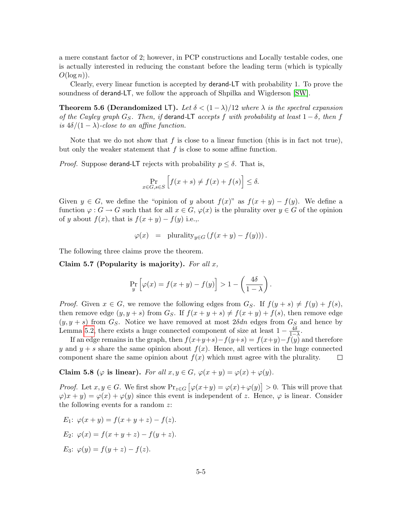a mere constant factor of 2; however, in PCP constructions and Locally testable codes, one is actually interested in reducing the constant before the leading term (which is typically  $O(\log n)$ ).

Clearly, every linear function is accepted by derand-LT with probability 1. To prove the soundness of derand-LT, we follow the approach of Shpilka and Wigderson [\[SW\]](#page-5-5).

**Theorem 5.6 (Derandomized LT).** Let  $\delta < (1 - \lambda)/12$  where  $\lambda$  is the spectral expansion of the Cayley graph  $G_S$ . Then, if derand-LT accepts f with probability at least  $1 - \delta$ , then f is  $4\delta/(1-\lambda)$ -close to an affine function.

Note that we do not show that  $f$  is close to a linear function (this is in fact not true), but only the weaker statement that  $f$  is close to some affine function.

*Proof.* Suppose derand-LT rejects with probability  $p \leq \delta$ . That is,

$$
\Pr_{x \in G, s \in S} \left[ f(x+s) \neq f(x) + f(s) \right] \leq \delta.
$$

Given  $y \in G$ , we define the "opinion of y about  $f(x)$ " as  $f(x + y) - f(y)$ . We define a function  $\varphi: G \to G$  such that for all  $x \in G$ ,  $\varphi(x)$  is the plurality over  $y \in G$  of the opinion of y about  $f(x)$ , that is  $f(x + y) - f(y)$  i.e.,.

$$
\varphi(x) = \text{plurality}_{y \in G} \left( f(x+y) - f(y) \right).
$$

<span id="page-4-0"></span>The following three claims prove the theorem.

Claim 5.7 (Popularity is majority). For all  $x$ ,

$$
\Pr_{y}\left[\varphi(x) = f(x+y) - f(y)\right] > 1 - \left(\frac{4\delta}{1-\lambda}\right).
$$

*Proof.* Given  $x \in G$ , we remove the following edges from  $G_S$ . If  $f(y + s) \neq f(y) + f(s)$ , then remove edge  $(y, y + s)$  from  $G_S$ . If  $f(x + y + s) \neq f(x + y) + f(s)$ , then remove edge  $(y, y + s)$  from  $G_S$ . Notice we have removed at most  $2\delta dn$  edges from  $G_S$  and hence by Lemma [5.2,](#page-1-0) there exists a huge connected component of size at least  $1 - \frac{4\delta}{1-\lambda}$ .

If an edge remains in the graph, then  $f(x+y+s)-f(y+s) = f(x+y)-f(y)$  and therefore y and  $y + s$  share the same opinion about  $f(x)$ . Hence, all vertices in the huge connected component share the same opinion about  $f(x)$  which must agree with the plurality.  $\Box$ 

Claim 5.8 ( $\varphi$  is linear). For all  $x, y \in G$ ,  $\varphi(x+y) = \varphi(x) + \varphi(y)$ .

*Proof.* Let  $x, y \in G$ . We first show  $Pr_{z \in G} [\varphi(x+y) = \varphi(x) + \varphi(y)] > 0$ . This will prove that  $\varphi(x + y) = \varphi(x) + \varphi(y)$  since this event is independent of z. Hence,  $\varphi$  is linear. Consider the following events for a random z:

E<sub>1</sub>:  $\varphi(x + y) = f(x + y + z) - f(z)$ . E<sub>2</sub>:  $\varphi(x) = f(x + y + z) - f(y + z)$ . E<sub>3</sub>:  $\varphi(y) = f(y + z) - f(z)$ .